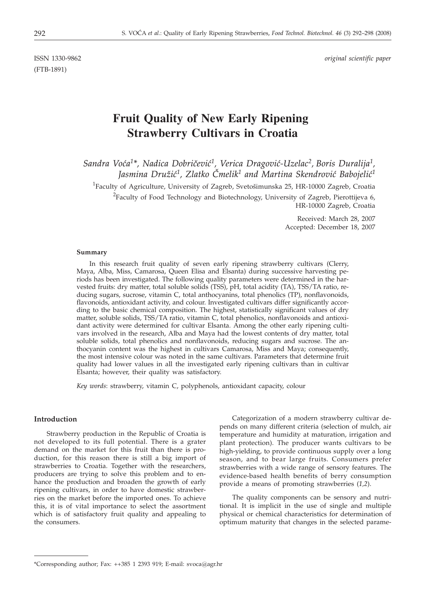(FTB-1891)

ISSN 1330-9862 *original scientific paper*

# **Fruit Quality of New Early Ripening Strawberry Cultivars in Croatia**

Sandra Voća<sup>1\*</sup>, Nadica Dobričević<sup>1</sup>, Verica Dragović-Uzelac<sup>2</sup>, Boris Duralija<sup>1</sup>, Jasmina Družić<sup>1</sup>, Zlatko Čmelik<sup>1</sup> and Martina Skendrović Babojelić<sup>1</sup>

<sup>1</sup>Faculty of Agriculture, University of Zagreb, Svetošimunska 25, HR-10000 Zagreb, Croatia  $^{2}$ Faculty of Food Technology and Biotechnology, University of Zagreb, Pierottijeva 6, HR-10000 Zagreb, Croatia

> Received: March 28, 2007 Accepted: December 18, 2007

#### **Summary**

In this research fruit quality of seven early ripening strawberry cultivars (Clerry, Maya, Alba, Miss, Camarosa, Queen Elisa and Elsanta) during successive harvesting periods has been investigated. The following quality parameters were determined in the harvested fruits: dry matter, total soluble solids (TSS), pH, total acidity (TA), TSS/TA ratio, reducing sugars, sucrose, vitamin C, total anthocyanins, total phenolics (TP), nonflavonoids, flavonoids, antioxidant activity, and colour. Investigated cultivars differ significantly according to the basic chemical composition. The highest, statistically significant values of dry matter, soluble solids, TSS/TA ratio, vitamin C, total phenolics, nonflavonoids and antioxidant activity were determined for cultivar Elsanta. Among the other early ripening cultivars involved in the research, Alba and Maya had the lowest contents of dry matter, total soluble solids, total phenolics and nonflavonoids, reducing sugars and sucrose. The anthocyanin content was the highest in cultivars Camarosa, Miss and Maya; consequently, the most intensive colour was noted in the same cultivars. Parameters that determine fruit quality had lower values in all the investigated early ripening cultivars than in cultivar Elsanta; however, their quality was satisfactory.

*Key words*: strawberry, vitamin C, polyphenols, antioxidant capacity, colour

#### **Introduction**

Strawberry production in the Republic of Croatia is not developed to its full potential. There is a grater demand on the market for this fruit than there is production, for this reason there is still a big import of strawberries to Croatia. Together with the researchers, producers are trying to solve this problem and to enhance the production and broaden the growth of early ripening cultivars, in order to have domestic strawberries on the market before the imported ones. To achieve this, it is of vital importance to select the assortment which is of satisfactory fruit quality and appealing to the consumers.

Categorization of a modern strawberry cultivar depends on many different criteria (selection of mulch, air temperature and humidity at maturation, irrigation and plant protection). The producer wants cultivars to be high-yielding, to provide continuous supply over a long season, and to bear large fruits. Consumers prefer strawberries with a wide range of sensory features. The evidence-based health benefits of berry consumption provide a means of promoting strawberries (*1,2*).

The quality components can be sensory and nutritional. It is implicit in the use of single and multiple physical or chemical characteristics for determination of optimum maturity that changes in the selected parame-

<sup>\*</sup>Corresponding author; Fax: ++385 1 2393 919; E-mail: svoca@agr.hr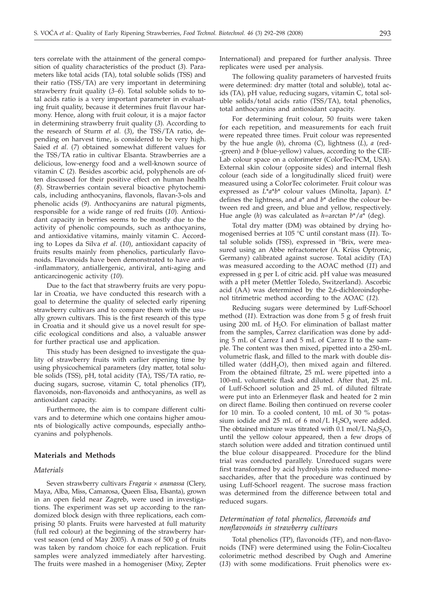ters correlate with the attainment of the general composition of quality characteristics of the product (*3*). Parameters like total acids (TA), total soluble solids (TSS) and their ratio (TSS/TA) are very important in determining strawberry fruit quality (*3–6*). Total soluble solids to total acids ratio is a very important parameter in evaluating fruit quality, because it determines fruit flavour harmony. Hence, along with fruit colour, it is a major factor in determining strawberry fruit quality (*3*). According to the research of Sturm *et al.* (*3*), the TSS/TA ratio, depending on harvest time, is considered to be very high. Saied *et al*. (*7*) obtained somewhat different values for the TSS/TA ratio in cultivar Elsanta. Strawberries are a delicious, low-energy food and a well-known source of vitamin C (*2*). Besides ascorbic acid, polyphenols are often discussed for their positive effect on human health (*8*). Strawberries contain several bioactive phytochemicals, including anthocyanins, flavonols, flavan-3-ols and phenolic acids (*9*). Anthocyanins are natural pigments, responsible for a wide range of red fruits (*10*). Antioxidant capacity in berries seems to be mostly due to the activity of phenolic compounds, such as anthocyanins, and antioxidative vitamins, mainly vitamin C. According to Lopes da Silva *et al*. (*10*), antioxidant capacity of fruits results mainly from phenolics, particularly flavonoids. Flavonoids have been demonstrated to have anti- -inflammatory, antiallergenic, antiviral, anti-aging and anticarcinogenic activity (*10*).

Due to the fact that strawberry fruits are very popular in Croatia, we have conducted this research with a goal to determine the quality of selected early ripening strawberry cultivars and to compare them with the usually grown cultivars. This is the first research of this type in Croatia and it should give us a novel result for specific ecological conditions and also, a valuable answer for further practical use and application.

This study has been designed to investigate the quality of strawberry fruits with earlier ripening time by using physicochemical parameters (dry matter, total soluble solids (TSS), pH, total acidity (TA), TSS/TA ratio, reducing sugars, sucrose, vitamin C, total phenolics (TP), flavonoids, non-flavonoids and anthocyanins, as well as antioxidant capacity.

Furthermore, the aim is to compare different cultivars and to determine which one contains higher amounts of biologically active compounds, especially anthocyanins and polyphenols.

#### **Materials and Methods**

### *Materials*

Seven strawberry cultivars *Fragaria* × *ananassa* (Clery, Maya, Alba, Miss, Camarosa, Queen Elisa, Elsanta), grown in an open field near Zagreb, were used in investigations. The experiment was set up according to the randomized block design with three replications, each comprising 50 plants. Fruits were harvested at full maturity (full red colour) at the beginning of the strawberry harvest season (end of May 2005). A mass of 500 g of fruits was taken by random choice for each replication. Fruit samples were analyzed immediately after harvesting. The fruits were mashed in a homogeniser (Mixy, Zepter

International) and prepared for further analysis. Three replicates were used per analysis.

The following quality parameters of harvested fruits were determined: dry matter (total and soluble), total acids (TA), pH value, reducing sugars, vitamin C, total soluble solids/total acids ratio (TSS/TA), total phenolics, total anthocyanins and antioxidant capacity.

For determining fruit colour, 50 fruits were taken for each repetition, and measurements for each fruit were repeated three times. Fruit colour was represented by the hue angle (*h*), chroma (*C*), lightness (*L*), *a* (red- -green) and *b* (blue-yellow) values, according to the CIE-Lab colour space on a colorimeter (ColorTec-PCM, USA). External skin colour (opposite sides) and internal flesh colour (each side of a longitudinally sliced fruit) were measured using a ColorTec colorimeter. Fruit colour was expressed as *L*\**a*\**b*\* colour values (Minolta, Japan). *L*\* defines the lightness, and *a*\* and *b*\* define the colour between red and green, and blue and yellow, respectively. Hue angle (*h*) was calculated as *h*=arctan *b*\*/*a*\* (deg).

Total dry matter (DM) was obtained by drying homogenised berries at 105 °C until constant mass (*11*). Total soluble solids (TSS), expressed in °Brix, were measured using an Abbe refractometer (A. Krüss Optronic, Germany) calibrated against sucrose. Total acidity (TA) was measured according to the AOAC method (*11*) and expressed in g per L of citric acid. pH value was measured with a pH meter (Mettler Toledo, Switzerland). Ascorbic acid (AA) was determined by the 2,6-dichloroindophenol titrimetric method according to the AOAC (*12*).

Reducing sugars were determined by Luff-Schoorl method (*11*). Extraction was done from 5 g of fresh fruit using 200 mL of H<sub>2</sub>O. For elimination of ballast matter from the samples, Carrez clarification was done by adding 5 mL of Carrez I and 5 mL of Carrez II to the sample. The content was then mixed, pipetted into a 250-mL volumetric flask, and filled to the mark with double distilled water ( $ddH<sub>2</sub>O$ ), then mixed again and filtered. From the obtained filtrate, 25 mL were pipetted into a 100-mL volumetric flask and diluted. After that, 25 mL of Luff-Schoorl solution and 25 mL of diluted filtrate were put into an Erlenmeyer flask and heated for 2 min on direct flame. Boiling then continued on reverse cooler for 10 min. To a cooled content, 10 mL of 30 % potassium iodide and 25 mL of 6 mol/L  $H_2SO_4$  were added. The obtained mixture was titrated with 0.1 mol/L  $\text{Na}_2\text{S}_2\text{O}_3$ until the yellow colour appeared, then a few drops of starch solution were added and titration continued until the blue colour disappeared. Procedure for the blind trial was conducted parallely. Unreduced sugars were first transformed by acid hydrolysis into reduced monosaccharides, after that the procedure was continued by using Luff-Schoorl reagent. The sucrose mass fraction was determined from the difference between total and reduced sugars.

## *Determination of total phenolics, flavonoids and nonflavonoids in strawberry cultivars*

Total phenolics (TP), flavonoids (TF), and non-flavonoids (TNF) were determined using the Folin-Ciocalteu colorimetric method described by Ough and Amerine (*13*) with some modifications. Fruit phenolics were ex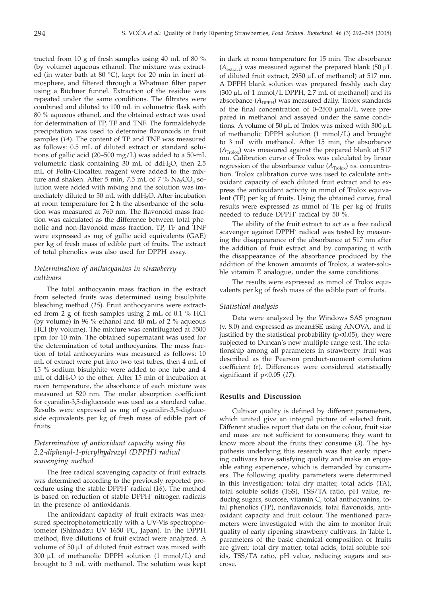tracted from 10 g of fresh samples using 40 mL of 80 % (by volume) aqueous ethanol. The mixture was extracted (in water bath at 80 °C), kept for 20 min in inert atmosphere, and filtered through a Whatman filter paper using a Büchner funnel. Extraction of the residue was repeated under the same conditions. The filtrates were combined and diluted to 100 mL in volumetric flask with 80 % aqueous ethanol, and the obtained extract was used for determination of TP, TF and TNF. The formaldehyde precipitation was used to determine flavonoids in fruit samples (*14*). The content of TP and TNF was measured as follows: 0.5 mL of diluted extract or standard solutions of gallic acid (20–500 mg/L) was added to a 50-mL volumetric flask containing 30 mL of  $ddH<sub>2</sub>O$ , then 2.5 mL of Folin-Ciocalteu reagent were added to the mixture and shaken. After 5 min, 7.5 mL of 7 %  $Na<sub>2</sub>CO<sub>3</sub>$  solution were added with mixing and the solution was immediately diluted to 50 mL with ddH<sub>2</sub>O. After incubation at room temperature for 2 h the absorbance of the solution was measured at 760 nm. The flavonoid mass fraction was calculated as the difference between total phenolic and non-flavonoid mass fraction. TP, TF and TNF were expressed as mg of gallic acid equivalents (GAE) per kg of fresh mass of edible part of fruits. The extract of total phenolics was also used for DPPH assay.

## *Determination of anthocyanins in strawberry cultivars*

The total anthocyanin mass fraction in the extract from selected fruits was determined using bisulphite bleaching method (*15*). Fruit anthocyanins were extracted from 2 g of fresh samples using 2 mL of 0.1 % HCl (by volume) in 96 % ethanol and 40 mL of 2 % aqueous HCl (by volume). The mixture was centrifugated at 5500 rpm for 10 min. The obtained supernatant was used for the determination of total anthocyanins. The mass fraction of total anthocyanins was measured as follows: 10 mL of extract were put into two test tubes, then 4 mL of 15 % sodium bisulphite were added to one tube and 4 mL of ddH<sub>2</sub>O to the other. After 15 min of incubation at room temperature, the absorbance of each mixture was measured at 520 nm. The molar absorption coefficient for cyanidin-3,5-diglucoside was used as a standard value. Results were expressed as mg of cyanidin-3,5-diglucoside equivalents per kg of fresh mass of edible part of fruits.

## *Determination of antioxidant capacity using the 2,2-diphenyl-1-picrylhydrazyl (DPPH· ) radical scavenging method*

The free radical scavenging capacity of fruit extracts was determined according to the previously reported procedure using the stable DPPH· radical (*16*). The method is based on reduction of stable DPPH· nitrogen radicals in the presence of antioxidants.

The antioxidant capacity of fruit extracts was measured spectrophotometrically with a UV-Vis spectrophotometer (Shimadzu UV 1650 PC, Japan). In the DPPH method, five dilutions of fruit extract were analyzed. A volume of  $50 \mu L$  of diluted fruit extract was mixed with 300  $\mu$ L of methanolic DPPH solution (1 mmol/L) and brought to 3 mL with methanol. The solution was kept

in dark at room temperature for 15 min. The absorbance  $(A<sub>extract</sub>)$  was measured against the prepared blank (50  $\mu$ L of diluted fruit extract, 2950 µL of methanol) at 517 nm. A DPPH blank solution was prepared freshly each day  $(300 \mu L \text{ of } 1 \text{ mmol/L DPPH}, 2.7 \text{ mL of methanol})$  and its absorbance  $(A_{\text{DPPH}})$  was measured daily. Trolox standards of the final concentration of 0–2500 mmol/L were prepared in methanol and assayed under the same conditions. A volume of 50  $\mu$ L of Trolox was mixed with 300  $\mu$ L of methanolic DPPH solution (1 mmol/L) and brought to 3 mL with methanol. After 15 min, the absorbance  $(A_{\text{Trolov}})$  was measured against the prepared blank at 517 nm. Calibration curve of Trolox was calculated by linear regression of the absorbance value  $(A_{\text{Trolo}})$  *vs*. concentration. Trolox calibration curve was used to calculate antioxidant capacity of each diluted fruit extract and to express the antioxidant activity in mmol of Trolox equivalent (TE) per kg of fruits. Using the obtained curve, final results were expressed as mmol of TE per kg of fruits needed to reduce DPPH· radical by 50 %.

The ability of the fruit extract to act as a free radical scavenger against DPPH· radical was tested by measuring the disappearance of the absorbance at 517 nm after the addition of fruit extract and by comparing it with the disappearance of the absorbance produced by the addition of the known amounts of Trolox, a water-soluble vitamin E analogue, under the same conditions.

The results were expressed as mmol of Trolox equivalents per kg of fresh mass of the edible part of fruits.

#### *Statistical analysis*

Data were analyzed by the Windows SAS program (v. 8.0) and expressed as mean±SE using ANOVA, and if justified by the statistical probability (p<0.05), they were subjected to Duncan's new multiple range test. The relationship among all parameters in strawberry fruit was described as the Pearson product-moment correlation coefficient (r). Differences were considered statistically significant if p<0.05 (*17*).

## **Results and Discussion**

Cultivar quality is defined by different parameters, which united give an integral picture of selected fruit. Different studies report that data on the colour, fruit size and mass are not sufficient to consumers; they want to know more about the fruits they consume (*3*). The hypothesis underlying this research was that early ripening cultivars have satisfying quality and make an enjoyable eating experience, which is demanded by consumers. The following quality parameters were determined in this investigation: total dry matter, total acids (TA), total soluble solids (TSS), TSS/TA ratio, pH value, reducing sugars, sucrose, vitamin C, total anthocyanins, total phenolics (TP), nonflavonoids, total flavonoids, antioxidant capacity and fruit colour. The mentioned parameters were investigated with the aim to monitor fruit quality of early ripening strawberry cultivars. In Table 1, parameters of the basic chemical composition of fruits are given: total dry matter, total acids, total soluble solids, TSS/TA ratio, pH value, reducing sugars and sucrose.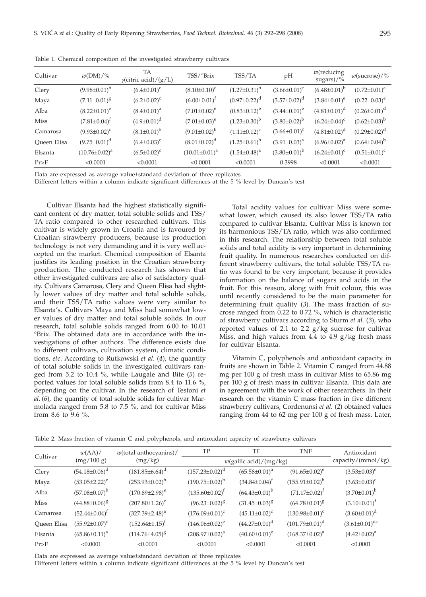| Cultivar    | $w(DM)/\%$           | TA<br>$\gamma$ (citric acid)/(g/L) | TSS/°Brix            | TSS/TA              | pH                  | $w$ (reducing<br>sugars $)/\%$ | $w$ (sucrose)/%     |
|-------------|----------------------|------------------------------------|----------------------|---------------------|---------------------|--------------------------------|---------------------|
| Clery       | $(9.98 \pm 0.01)^b$  | $(6.4 \pm 0.01)^c$                 | $(8.10\pm0.10)^c$    | $(1.27 \pm 0.31)^b$ | $(3.66 \pm 0.01)^c$ | $(6.48\pm0.01)^b$              | $(0.72 \pm 0.01)^a$ |
| Maya        | $(7.11 \pm 0.01)^8$  | $(6.2 \pm 0.02)^c$                 | $(6.00\pm0.01)^t$    | $(0.97 \pm 0.22)^d$ | $(3.57 \pm 0.02)^d$ | $(3.84 \pm 0.01)^e$            | $(0.22 \pm 0.03)^e$ |
| Alba        | $(8.22 \pm 0.01)^e$  | $(8.4 \pm 0.01)^a$                 | $(7.01 \pm 0.02)^e$  | $(0.83 \pm 0.12)^e$ | $(3.44\pm0.01)^e$   | $(4.81\pm0.01)^d$              | $(0.26 \pm 0.01)^d$ |
| <b>Miss</b> | $(7.81 \pm 0.04)^f$  | $(4.9 \pm 0.01)^d$                 | $(7.01 \pm 0.03)^e$  | $(1.23 \pm 0.30)^b$ | $(3.80 \pm 0.02)^b$ | $(6.24 \pm 0.04)^c$            | $(0.62 \pm 0.03)^b$ |
| Camarosa    | $(9.93\pm0.02)^{c}$  | $(8.1 \pm 0.01)^b$                 | $(9.01\pm0.02)^{b}$  | $(1.11\pm0.12)^c$   | $(3.66 \pm 0.01)^c$ | $(4.81 \pm 0.02)^d$            | $(0.29 \pm 0.02)^d$ |
| Queen Elisa | $(9.75 \pm 0.01)^d$  | $(6.4 \pm 0.03)^c$                 | $(8.01\pm0.02)^d$    | $(1.25 \pm 0.61)^b$ | $(3.91\pm0.03)^a$   | $(6.96 \pm 0.02)^a$            | $(0.64 \pm 0.04)^b$ |
| Elsanta     | $(10.76 \pm 0.02)^a$ | $(6.5 \pm 0.02)^c$                 | $(10.01 \pm 0.01)^a$ | $(1.54 \pm 0.48)^a$ | $(3.80\pm0.01)^b$   | $(6.24 \pm 0.01)^c$            | $(0.51 \pm 0.01)^c$ |
| Pr>F        | < 0.0001             | < 0.0001                           | < 0.0001             | < 0.0001            | 0.3998              | < 0.0001                       | < 0.0001            |

Table 1. Chemical composition of the investigated strawberry cultivars

Data are expressed as average value±standard deviation of three replicates

Different letters within a column indicate significant differences at the 5 % level by Duncan's test

Cultivar Elsanta had the highest statistically significant content of dry matter, total soluble solids and TSS/ TA ratio compared to other researched cultivars. This cultivar is widely grown in Croatia and is favoured by Croatian strawberry producers, because its production technology is not very demanding and it is very well accepted on the market. Chemical composition of Elsanta justifies its leading position in the Croatian strawberry production. The conducted research has shown that other investigated cultivars are also of satisfactory quality. Cultivars Camarosa, Clery and Queen Elisa had slightly lower values of dry matter and total soluble solids, and their TSS/TA ratio values were very similar to Elsanta's. Cultivars Maya and Miss had somewhat lower values of dry matter and total soluble solids. In our research, total soluble solids ranged from 6.00 to 10.01 °Brix. The obtained data are in accordance with the investigations of other authors. The difference exists due to different cultivars, cultivation system, climatic conditions, *etc*. According to Rutkowski *et al*. (*4*), the quantity of total soluble solids in the investigated cultivars ranged from 5.2 to 10.4 %, while Laugale and Bite (*5*) reported values for total soluble solids from 8.4 to 11.6 %, depending on the cultivar. In the research of Testoni *et al*. (*6*), the quantity of total soluble solids for cultivar Marmolada ranged from 5.8 to 7.5 %, and for cultivar Miss from 8.6 to 9.6 %.

Total acidity values for cultivar Miss were somewhat lower, which caused its also lower TSS/TA ratio compared to cultivar Elsanta. Cultivar Miss is known for its harmonious TSS/TA ratio, which was also confirmed in this research. The relationship between total soluble solids and total acidity is very important in determining fruit quality. In numerous researches conducted on different strawberry cultivars, the total soluble TSS/TA ratio was found to be very important, because it provides information on the balance of sugars and acids in the fruit. For this reason, along with fruit colour, this was until recently considered to be the main parameter for determining fruit quality (*3*). The mass fraction of sucrose ranged from 0.22 to 0.72 %, which is characteristic of strawberry cultivars according to Sturm *et al.* (*3*), who reported values of 2.1 to 2.2 g/kg sucrose for cultivar Miss, and high values from 4.4 to 4.9 g/kg fresh mass for cultivar Elsanta.

Vitamin C, polyphenols and antioxidant capacity in fruits are shown in Table 2. Vitamin C ranged from 44.88 mg per 100 g of fresh mass in cultivar Miss to 65.86 mg per 100 g of fresh mass in cultivar Elsanta. This data are in agreement with the work of other researchers. In their research on the vitamin C mass fraction in five different strawberry cultivars, Cordenunsi *et al.* (*2*) obtained values ranging from 44 to 62 mg per 100 g of fresh mass. Later,

Table 2. Mass fraction of vitamin C and polyphenols, and antioxidant capacity of strawberry cultivars

| Cultivar    | w(AA)                | $w$ (total anthocyanins)/ | TP                    | TF                                     | <b>TNF</b>            | Antioxidant            |
|-------------|----------------------|---------------------------|-----------------------|----------------------------------------|-----------------------|------------------------|
|             | (mg/100 g)           | (mg/kg)                   |                       | $w(\text{gallic acid})/(\text{mg/kg})$ |                       | capacity/(mmol/kg)     |
| Clery       | $(54.18 \pm 0.06)^d$ | $(181.85\pm6.64)^d$       | $(157.23 \pm 0.02)^d$ | $(65.58 \pm 0.01)^a$                   | $(91.65 \pm 0.02)^e$  | $(3.53 \pm 0.03)^e$    |
| Maya        | $(53.05 \pm 2.22)^e$ | $(253.93\pm0.02)^b$       | $(190.75 \pm 0.02)^b$ | $(34.84 \pm 0.04)^t$                   | $(155.91\pm0.02)^b$   | $(3.63 \pm 0.03)^c$    |
| Alba        | $(57.08 \pm 0.07)^b$ | $(170.89 \pm 2.98)^e$     | $(135.60 \pm 0.02)^t$ | $(64.43\pm0.01)^b$                     | $(71.17 \pm 0.02)^t$  | $(3.70 \pm 0.01)^b$    |
| <b>Miss</b> | $(44.88 \pm 0.06)^8$ | $(207.80 \pm 1.26)^c$     | $(96.23 \pm 0.02)^8$  | $(31.45 \pm 0.03)^8$                   | $(64.78 \pm 0.01)^8$  | $(3.10\pm0.01)^t$      |
| Camarosa    | $(52.44 \pm 0.04)^t$ | $(327.39 \pm 2.48)^a$     | $(176.09 \pm 0.01)^c$ | $(45.11\pm0.02)^c$                     | $(130.98 \pm 0.01)^c$ | $(3.60 \pm 0.01)^d$    |
| Queen Elisa | $(55.92 \pm 0.07)^c$ | $(152.64 \pm 1.15)^t$     | $(146.06\pm0.02)^e$   | $(44.27 \pm 0.01)^d$                   | $(101.79 \pm 0.01)^d$ | $(3.61 \pm 0.01)^{dc}$ |
| Elsanta     | $(65.86 \pm 0.11)^a$ | $(114.76 \pm 4.05)^8$     | $(208.97 \pm 0.02)^a$ | $(40.60 \pm 0.01)^e$                   | $(168.37\pm0.02)^a$   | $(4.42 \pm 0.02)^a$    |
| Pr>F        | < 0.0001             | < 0.0001                  | < 0.0001              | < 0.0001                               | < 0.0001              | < 0.0001               |

Data are expressed as average value±standard deviation of three replicates

Different letters within a column indicate significant differences at the 5 % level by Duncan's test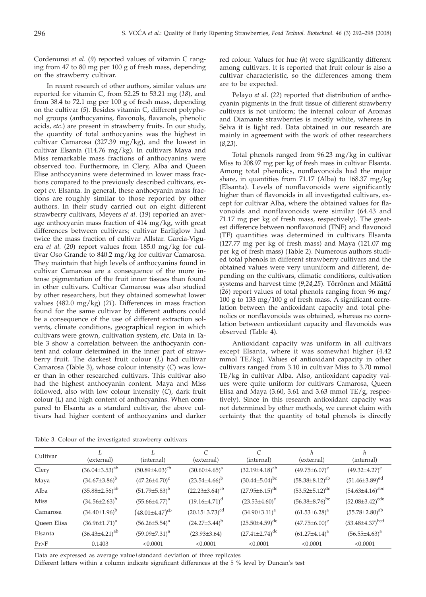Cordenunsi *et al*. (*9*) reported values of vitamin C ranging from 47 to 80 mg per 100 g of fresh mass, depending on the strawberry cultivar.

In recent research of other authors, similar values are reported for vitamin C, from 52.25 to 53.21 mg (*18*), and from 38.4 to 72.1 mg per 100 g of fresh mass, depending on the cultivar (*5*). Besides vitamin C, different polyphenol groups (anthocyanins, flavonols, flavanols, phenolic acids, *etc*.) are present in strawberry fruits. In our study, the quantity of total anthocyanins was the highest in cultivar Camarosa (327.39 mg/kg), and the lowest in cultivar Elsanta (114.76 mg/kg). In cultivars Maya and Miss remarkable mass fractions of anthocyanins were observed too. Furthermore, in Clery, Alba and Queen Elise anthocyanins were determined in lower mass fractions compared to the previously described cultivars, except cv. Elsanta. In general, these anthocyanin mass fractions are roughly similar to those reported by other authors. In their study carried out on eight different strawberry cultivars, Meyers *et al*. (*19*) reported an average anthocyanin mass fraction of 414 mg/kg, with great differences between cultivars; cultivar Earliglow had twice the mass fraction of cultivar Allstar. Garcia-Viguera *et al.* (*20*) report values from 185.0 mg/kg for cultivar Oso Grande to 840.2 mg/kg for cultivar Camarosa. They maintain that high levels of anthocyanins found in cultivar Camarosa are a consequence of the more intense pigmentation of the fruit inner tissues than found in other cultivars. Cultivar Camarosa was also studied by other researchers, but they obtained somewhat lower values (482.0 mg/kg) (*21*). Differences in mass fraction found for the same cultivar by different authors could be a consequence of the use of different extraction solvents, climate conditions, geographical region in which cultivars were grown, cultivation system, *etc*. Data in Table 3 show a correlation between the anthocyanin content and colour determined in the inner part of strawberry fruit. The darkest fruit colour (*L*) had cultivar Camarosa (Table 3), whose colour intensity (*C*) was lower than in other researched cultivars. This cultivar also had the highest anthocyanin content. Maya and Miss followed, also with low colour intensity (*C*), dark fruit colour (*L*) and high content of anthocyanins. When compared to Elsanta as a standard cultivar, the above cultivars had higher content of anthocyanins and darker red colour. Values for hue (*h*) were significantly different among cultivars. It is reported that fruit colour is also a cultivar characteristic, so the differences among them are to be expected.

Pelayo *et al*. (*22*) reported that distribution of anthocyanin pigments in the fruit tissue of different strawberry cultivars is not uniform; the internal colour of Aromas and Diamante strawberries is mostly white, whereas in Selva it is light red. Data obtained in our research are mainly in agreement with the work of other researchers (*8,23*).

Total phenols ranged from 96.23 mg/kg in cultivar Miss to 208.97 mg per kg of fresh mass in cultivar Elsanta. Among total phenolics, nonflavonoids had the major share, in quantities from 71.17 (Alba) to 168.37 mg/kg (Elsanta). Levels of nonflavonoids were significantly higher than of flavonoids in all investigated cultivars, except for cultivar Alba, where the obtained values for flavonoids and nonflavonoids were similar (64.43 and 71.17 mg per kg of fresh mass, respectively). The greatest difference between nonflavonoid (TNF) and flavonoid (TF) quantities was determined in cultivars Elsanta (127.77 mg per kg of fresh mass) and Maya (121.07 mg per kg of fresh mass) (Table 2). Numerous authors studied total phenols in different strawberry cultivars and the obtained values were very ununiform and different, depending on the cultivars, climatic conditions, cultivation systems and harvest time (*9,24,25*). Törrönen and Määttä (*26*) report values of total phenols ranging from 96 mg/ 100 g to 133 mg/100 g of fresh mass. A significant correlation between the antioxidant capacity and total phenolics or nonflavonoids was obtained, whereas no correlation between antioxidant capacity and flavonoids was observed (Table 4).

Antioxidant capacity was uniform in all cultivars except Elsanta, where it was somewhat higher (4.42 mmol TE/kg). Values of antioxidant capacity in other cultivars ranged from 3.10 in cultivar Miss to 3.70 mmol TE/kg in cultivar Alba. Also, antioxidant capacity values were quite uniform for cultivars Camarosa, Queen Elisa and Maya (3.60, 3.61 and 3.63 mmol TE/g, respectively). Since in this research antioxidant capacity was not determined by other methods, we cannot claim with certainty that the quantity of total phenols is directly

Table 3. Colour of the investigated strawberry cultivars

| Cultivar    | (external)              | (internal)              | C<br>(external)         | (internal)              | h<br>(external)         | h<br>(internal)          |
|-------------|-------------------------|-------------------------|-------------------------|-------------------------|-------------------------|--------------------------|
| Clery       | $(36.04\pm3.53)^{ab}$   | $(50.89 \pm 4.03)^{cb}$ | $(30.60 \pm 4.65)^a$    | $(32.19 \pm 4.18)^{ab}$ | $(49.75 \pm 6.07)^e$    | $(49.32\pm4.27)^e$       |
| Maya        | $(34.67 \pm 3.86)^b$    | $(47.26 \pm 4.70)^c$    | $(23.54\pm4.66)^b$      | $(30.44\pm5.04)^{bc}$   | $(58.38 \pm 8.12)^{ab}$ | $(51.46\pm3.89)^{ed}$    |
| Alba        | $(35.88 \pm 2.56)^{ab}$ | $(51.79 \pm 5.83)^b$    | $(22.23\pm3.64)^{cb}$   | $(27.95 \pm 6.15)^{dc}$ | $(53.52 \pm 5.12)^{dc}$ | $(54.63 \pm 4.16)^{abc}$ |
| <b>Miss</b> | $(34.56 \pm 2.63)^b$    | $(55.66 \pm 4.77)^a$    | $(19.16 \pm 4.71)^d$    | $(23.53\pm4.60)^e$      | $(56.38 \pm 8.76)^{bc}$ | $(52.08 \pm 3.42)^{cde}$ |
| Camarosa    | $(34.40 \pm 1.96)^b$    | $(48.01 \pm 4.47)^{cb}$ | $(20.15 \pm 3.73)^{cd}$ | $(34.90\pm3.11)^a$      | $(61.53 \pm 6.28)^a$    | $(55.78 \pm 2.80)^{ab}$  |
| Queen Elisa | $(36.96 \pm 1.71)^a$    | $(56.26 \pm 5.54)^a$    | $(24.27 \pm 3.44)^b$    | $(25.50 \pm 4.59)^{de}$ | $(47.75 \pm 6.00)^e$    | $(53.48 \pm 4.37)^{bcd}$ |
| Elsanta     | $(36.43 \pm 4.21)^{ab}$ | $(59.09 \pm 7.31)^a$    | $(23.93\pm3.64)$        | $(27.41 \pm 2.74)^{dc}$ | $(61.27 \pm 4.14)^a$    | $(56.55 \pm 4.63)^a$     |
| $Pr$ >F     | 0.1403                  | < 0.0001                | < 0.0001                | < 0.0001                | < 0.0001                | < 0.0001                 |
|             |                         |                         |                         |                         |                         |                          |

Data are expressed as average value±standard deviation of three replicates

Different letters within a column indicate significant differences at the 5 % level by Duncan's test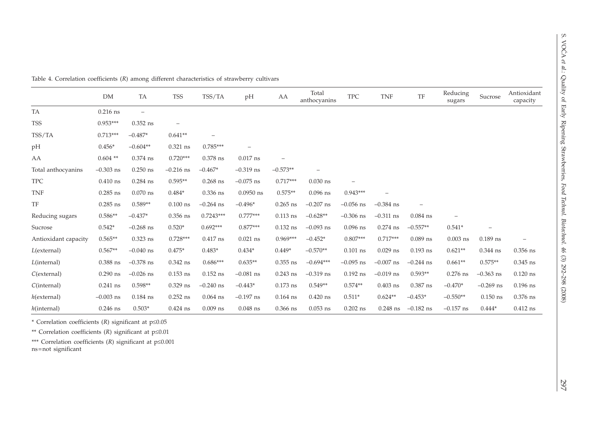|                                                                                                                                  | DM          | TA          | <b>TSS</b>               | TSS/TA                   | pH                       | AA         | Total<br>anthocyanins | <b>TPC</b>               | <b>TNF</b>  | TF                       | Reducing<br>sugars | Sucrose     | Antioxidant<br>capacity  |
|----------------------------------------------------------------------------------------------------------------------------------|-------------|-------------|--------------------------|--------------------------|--------------------------|------------|-----------------------|--------------------------|-------------|--------------------------|--------------------|-------------|--------------------------|
| TA                                                                                                                               | $0.216$ ns  | $\equiv$    |                          |                          |                          |            |                       |                          |             |                          |                    |             |                          |
| <b>TSS</b>                                                                                                                       | $0.953***$  | $0.352$ ns  | $\overline{\phantom{0}}$ |                          |                          |            |                       |                          |             |                          |                    |             |                          |
| TSS/TA                                                                                                                           | $0.713***$  | $-0.487*$   | $0.641**$                | $\overline{\phantom{0}}$ |                          |            |                       |                          |             |                          |                    |             |                          |
| pH                                                                                                                               | $0.456*$    | $-0.604**$  | $0.321$ ns               | $0.785***$               | $\overline{\phantom{0}}$ |            |                       |                          |             |                          |                    |             |                          |
| AA                                                                                                                               | $0.604$ **  | $0.374$ ns  | $0.720***$               | $0.378$ ns               | $0.017$ ns               |            |                       |                          |             |                          |                    |             |                          |
| Total anthocyanins                                                                                                               | $-0.303$ ns | $0.250$ ns  | $-0.216$ ns              | $-0.467*$                | $-0.319$ ns              | $-0.573**$ |                       |                          |             |                          |                    |             |                          |
| <b>TPC</b>                                                                                                                       | $0.410$ ns  | $0.284$ ns  | $0.595**$                | $0.268$ ns               | $-0.075$ ns              | $0.717***$ | $0.030$ ns            | $\overline{\phantom{0}}$ |             |                          |                    |             |                          |
| <b>TNF</b>                                                                                                                       | $0.285$ ns  | $0.070$ ns  | $0.484*$                 | $0.336$ ns               | $0.0950$ ns              | $0.575**$  | $0.096$ ns            | $0.943***$               |             |                          |                    |             |                          |
| TF                                                                                                                               | $0.285$ ns  | $0.589**$   | $0.100$ ns               | $-0.264$ ns              | $-0.496*$                | $0.265$ ns | $-0.207$ ns           | $-0.056$ ns              | $-0.384$ ns | $\overline{\phantom{0}}$ |                    |             |                          |
| Reducing sugars                                                                                                                  | $0.586**$   | $-0.437*$   | $0.356$ ns               | $0.7243***$              | $0.777***$               | $0.113$ ns | $-0.628**$            | $-0.306$ ns              | $-0.311$ ns | $0.084$ ns               |                    |             |                          |
| Sucrose                                                                                                                          | $0.542*$    | $-0.268$ ns | $0.520*$                 | $0.692***$               | $0.877***$               | $0.132$ ns | $-0.093$ ns           | $0.096$ ns               | $0.274$ ns  | $-0.557**$               | $0.541*$           |             |                          |
| Antioxidant capacity                                                                                                             | $0.565**$   | $0.323$ ns  | $0.728***$               | $0.417$ ns               | $0.021$ ns               | $0.969***$ | $-0.452*$             | $0.807***$               | $0.717***$  | $0.089$ ns               | $0.003$ ns         | $0.189$ ns  | $\overline{\phantom{0}}$ |
| $L$ (external)                                                                                                                   | $0.567**$   | $-0.040$ ns | $0.475*$                 | $0.483*$                 | $0.434*$                 | $0.449*$   | $-0.570**$            | $0.101$ ns               | $0.029$ ns  | $0.193$ ns               | $0.621**$          | 0.344 ns    | $0.356$ ns               |
| $L$ (internal)                                                                                                                   | $0.388$ ns  | $-0.378$ ns | $0.342$ ns               | $0.686***$               | $0.635**$                | $0.355$ ns | $-0.694***$           | $-0.095$ ns              | $-0.007$ ns | $-0.244$ ns              | $0.661**$          | $0.575**$   | $0.345$ ns               |
| $C$ (external)                                                                                                                   | $0.290$ ns  | $-0.026$ ns | $0.153$ ns               | $0.152$ ns               | $-0.081$ ns              | $0.243$ ns | $-0.319$ ns           | $0.192$ ns               | $-0.019$ ns | $0.593**$                | $0.276$ ns         | $-0.363$ ns | $0.120$ ns               |
| C(internal)                                                                                                                      | $0.241$ ns  | $0.598**$   | $0.329$ ns               | $-0.240$ ns              | $-0.443*$                | $0.173$ ns | $0.549**$             | $0.574**$                | $0.403$ ns  | $0.387$ ns               | $-0.470*$          | $-0.269$ ns | $0.196$ ns               |
| $h$ (external)                                                                                                                   | $-0.003$ ns | $0.184$ ns  | $0.252$ ns               | $0.064$ ns               | $-0.197$ ns              | $0.164$ ns | $0.420$ ns            | $0.511*$                 | $0.624**$   | $-0.453*$                | $-0.550**$         | $0.150$ ns  | 0.376 ns                 |
| $h$ (internal)                                                                                                                   | $0.246$ ns  | $0.503*$    | $0.424$ ns               | $0.009$ ns               | $0.048$ ns               | $0.366$ ns | $0.053$ ns            | $0.202$ ns               | $0.248$ ns  | $-0.182$ ns              | $-0.157$ ns        | $0.444*$    | $0.412$ ns               |
| * Correlation coefficients $(R)$ significant at $p \le 0.05$                                                                     |             |             |                          |                          |                          |            |                       |                          |             |                          |                    |             |                          |
| ** Correlation coefficients ( $R$ ) significant at $p \le 0.01$<br>*** Correlation coefficients (R) significant at $p \le 0.001$ |             |             |                          |                          |                          |            |                       |                          |             |                          |                    |             |                          |
| ns=not significant                                                                                                               |             |             |                          |                          |                          |            |                       |                          |             |                          |                    |             |                          |